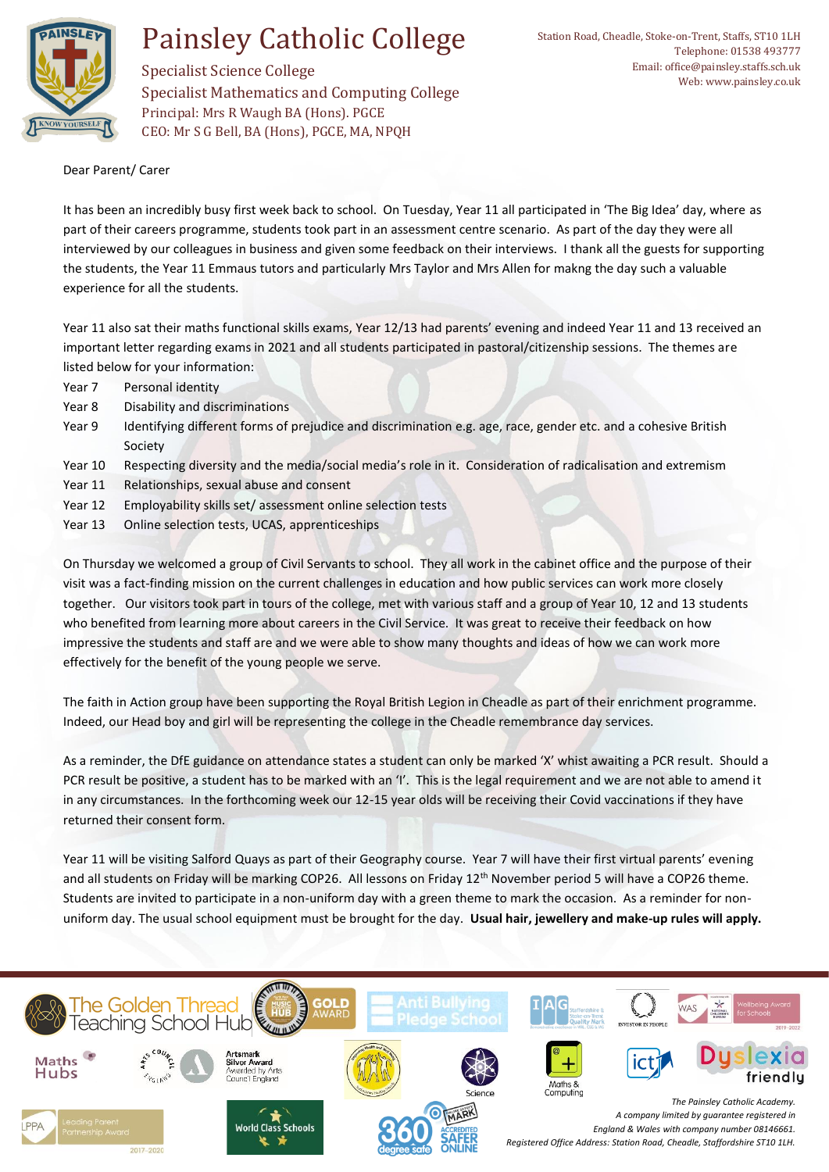

## Painsley Catholic College

Specialist Science College Specialist Mathematics and Computing College Principal: Mrs R Waugh BA (Hons). PGCE CEO: Mr S G Bell, BA (Hons), PGCE, MA, NPQH

Dear Parent/ Carer

It has been an incredibly busy first week back to school. On Tuesday, Year 11 all participated in 'The Big Idea' day, where as part of their careers programme, students took part in an assessment centre scenario. As part of the day they were all interviewed by our colleagues in business and given some feedback on their interviews. I thank all the guests for supporting the students, the Year 11 Emmaus tutors and particularly Mrs Taylor and Mrs Allen for makng the day such a valuable experience for all the students.

Year 11 also sat their maths functional skills exams, Year 12/13 had parents' evening and indeed Year 11 and 13 received an important letter regarding exams in 2021 and all students participated in pastoral/citizenship sessions. The themes are listed below for your information:

- Year 7 Personal identity
- Year 8 Disability and discriminations
- Year 9 Identifying different forms of prejudice and discrimination e.g. age, race, gender etc. and a cohesive British Society
- Year 10 Respecting diversity and the media/social media's role in it. Consideration of radicalisation and extremism
- Year 11 Relationships, sexual abuse and consent
- Year 12 Employability skills set/ assessment online selection tests
- Year 13 Online selection tests, UCAS, apprenticeships

On Thursday we welcomed a group of Civil Servants to school. They all work in the cabinet office and the purpose of their visit was a fact-finding mission on the current challenges in education and how public services can work more closely together. Our visitors took part in tours of the college, met with various staff and a group of Year 10, 12 and 13 students who benefited from learning more about careers in the Civil Service. It was great to receive their feedback on how impressive the students and staff are and we were able to show many thoughts and ideas of how we can work more effectively for the benefit of the young people we serve.

The faith in Action group have been supporting the Royal British Legion in Cheadle as part of their enrichment programme. Indeed, our Head boy and girl will be representing the college in the Cheadle remembrance day services.

As a reminder, the DfE guidance on attendance states a student can only be marked 'X' whist awaiting a PCR result. Should a PCR result be positive, a student has to be marked with an 'I'. This is the legal requirement and we are not able to amend it in any circumstances. In the forthcoming week our 12-15 year olds will be receiving their Covid vaccinations if they have returned their consent form.

Year 11 will be visiting Salford Quays as part of their Geography course. Year 7 will have their first virtual parents' evening and all students on Friday will be marking COP26. All lessons on Friday 12<sup>th</sup> November period 5 will have a COP26 theme. Students are invited to participate in a non-uniform day with a green theme to mark the occasion. As a reminder for nonuniform day. The usual school equipment must be brought for the day. **Usual hair, jewellery and make-up rules will apply.**